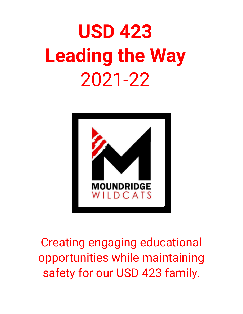# **USD 423 Leading the Way** 2021-22



Creating engaging educational opportunities while maintaining safety for our USD 423 family.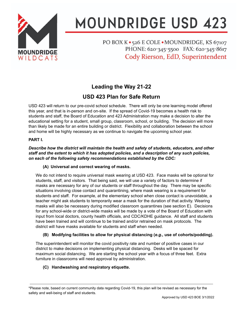

# **MOUNDRIDGE USD 423**

PO BOX K · 526 E COLE · MOUNDRIDGE, KS 67107 PHONE: 620-345-5500 FAX: 620-345-8617 Cody Rierson, EdD, Superintendent

## **Leading the Way 21-22**

### **USD 423 Plan for Safe Return**

USD 423 will return to our pre-covid school schedule. There will only be one learning model offered this year, and that is in-person and on-site. If the spread of Covid-19 becomes a health risk to students and staff, the Board of Education and 423 Administration may make a decision to alter the educational setting for a student, small group, classroom, school, or building. The decision will more than likely be made for an entire building or district. Flexibility and collaboration between the school and home will be highly necessary as we continue to navigate the upcoming school year.

#### **PART I.**

#### *Describe how the district will maintain the health and safety of students, educators, and other staff and the extent to which it has adopted policies, and a description of any such policies, on each of the following safety recommendations established by the CDC:*

#### **(A) Universal and correct wearing of masks.**

We do not intend to require universal mask wearing at USD 423. Face masks will be optional for students, staff, and visitors. That being said, we will use a variety of factors to determine if masks are necessary for any of our students or staff throughout the day. There may be specific situations involving close contact and quarantining, where mask wearing is a requirement for students and staff. For example, at the elementary school when close contact is unavoidable, a teacher might ask students to temporarily wear a mask for the duration of that activity. Wearing masks will also be necessary during modified classroom quarantines (see section E). Decisions for any school-wide or district-wide masks will be made by a vote of the Board of Education with input from local doctors, county health officials, and CDC/KDHE guidance. All staff and students have been trained and will continue to be trained and/or retrained on mask protocols. The district will have masks available for students and staff when needed.

#### **(B) Modifying facilities to allow for physical distancing (***e.g.,* **use of cohorts/podding).**

The superintendent will monitor the covid positivity rate and number of positive cases in our district to make decisions on implementing physical distancing. Desks will be spaced for maximum social distancing. We are starting the school year with a focus of three feet. Extra furniture in classrooms will need approval by administration.

#### **(C) Handwashing and respiratory etiquette.**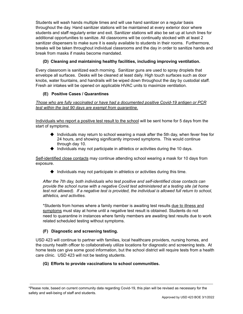Students will wash hands multiple times and will use hand sanitizer on a regular basis throughout the day. Hand sanitizer stations will be maintained at every exterior door where students and staff regularly enter and exit. Sanitizer stations will also be set up at lunch lines for additional opportunities to sanitize. All classrooms will be continually stocked with at least 2 sanitizer dispensers to make sure it is easily available to students in their rooms. Furthermore, breaks will be taken throughout individual classrooms and the day in order to sanitize hands and break from masks if masks become mandated.

#### **(D) Cleaning and maintaining healthy facilities, including improving ventilation.**

Every classroom is sanitized each morning. Sanitizer guns are used to spray droplets that envelope all surfaces. Desks will be cleaned at least daily. High touch surfaces such as door knobs, water fountains, and handrails will be wiped down throughout the day by custodial staff. Fresh air intakes will be opened on applicable HVAC units to maximize ventilation.

#### **(E) Positive Cases / Quarantines**

*Those who are fully vaccinated or have had a documented positive Covid-19 antigen or PCR test within the last 90 days are exempt from quarantine.*

Individuals who report a positive test result to the school will be sent home for 5 days from the start of symptoms.

- ◆ Individuals may return to school wearing a mask after the 5th day, when fever free for 24 hours, and showing significantly improved symptoms. This would continue through day 10.
- $\blacklozenge$  Individuals may not participate in athletics or activities during the 10 days.

Self-identified close contacts may continue attending school wearing a mask for 10 days from exposure.

◆ Individuals may not participate in athletics or activities during this time.

*After the 7th day, both individuals who test positive and self-identified close contacts can provide the school nurse with a negative Covid test administered at a testing site (at home test not allowed). If a negative test is provided, the individual is allowed full return to school, athletics, and activities.*

\*Students from homes where a family member is awaiting test results due to illness and symptoms must stay at home until a negative test result is obtained. Students do not need to quarantine in instances where family members are awaiting test results due to work related scheduled testing without symptoms.

#### **(F) Diagnostic and screening testing.**

USD 423 will continue to partner with families, local healthcare providers, nursing homes, and the county health officer to collaboratively utilize locations for diagnostic and screening tests. At home tests can give some good information, but the school district will require tests from a health care clinic. USD 423 will not be testing students.

#### **(G) Efforts to provide vaccinations to school communities.**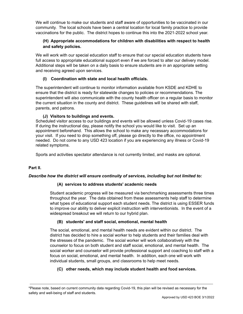We will continue to make our students and staff aware of opportunities to be vaccinated in our community. The local schools have been a central location for local family practice to provide vaccinations for the public. The district hopes to continue this into the 2021-2022 school year.

#### **(H) Appropriate accommodations for children with disabilities with respect to health and safety policies.**

We will work with our special education staff to ensure that our special education students have full access to appropriate educational support even if we are forced to alter our delivery model. Additional steps will be taken on a daily basis to ensure students are in an appropriate setting and receiving agreed upon services.

#### **(I) Coordination with state and local health officials.**

The superintendent will continue to monitor information available from KSDE and KDHE to ensure that the district is ready for statewide changes to policies or recommendations. The superintendent will also communicate with the county health officer on a regular basis to monitor the current situation in the county and district. These guidelines will be shared with staff, parents, and patrons.

#### **(J) Visitors to buildings and events.**

Scheduled visitor access to our buildings and events will be allowed unless Covid-19 cases rise. If during the instructional day, please notify the school you would like to visit. Set up an appointment beforehand. This allows the school to make any necessary accommodations for your visit. If you need to drop something off, please go directly to the office, no appointment needed. Do not come to any USD 423 location if you are experiencing any illness or Covid-19 related symptoms.

Sports and activities spectator attendance is not currently limited, and masks are optional.

#### **Part II.**

#### *Describe how the district will ensure continuity of services, including but not limited to:*

#### **(A) services to address students' academic needs**

Student academic progress will be measured via benchmarking assessments three times throughout the year. The data obtained from these assessments help staff to determine what types of educational support each student needs. The district is using ESSER funds to improve our ability to deliver explicit instruction with interventionists. In the event of a widespread breakout we will return to our hybrid plan.

#### **(B) students' and staff social, emotional, mental health**

The social, emotional, and mental health needs are evident within our district. The district has decided to hire a social worker to help students and their families deal with the stresses of the pandemic. The social worker will work collaboratively with the counselor to focus on both student and staff social, emotional, and mental health. The social worker and counselor will provide professional support and coaching to staff with a focus on social, emotional, and mental health. In addition, each one will work with individual students, small groups, and classrooms to help meet needs.

#### **(C) other needs, which may include student health and food services.**